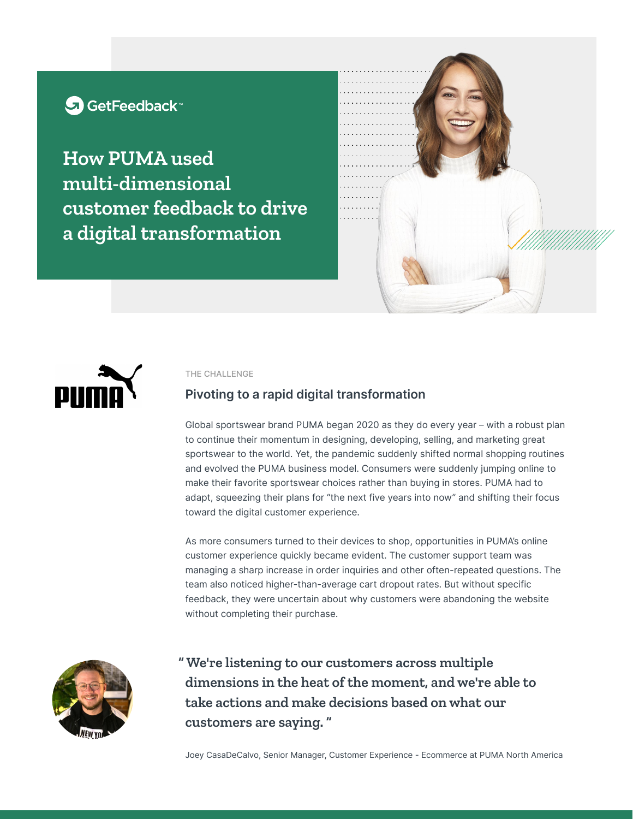# G GetFeedback

**How PUMA used multi-dimensional customer feedback to drive a digital transformation**





#### THE CHALLENGE

## **Pivoting to a rapid digital transformation**

Global sportswear brand PUMA began 2020 as they do every year – with a robust plan to continue their momentum in designing, developing, selling, and marketing great sportswear to the world. Yet, the pandemic suddenly shifted normal shopping routines and evolved the PUMA business model. Consumers were suddenly jumping online to make their favorite sportswear choices rather than buying in stores. PUMA had to adapt, squeezing their plans for "the next five years into now" and shifting their focus toward the digital customer experience.

As more consumers turned to their devices to shop, opportunities in PUMA's online customer experience quickly became evident. The customer support team was managing a sharp increase in order inquiries and other often-repeated questions. The team also noticed higher-than-average cart dropout rates. But without specific feedback, they were uncertain about why customers were abandoning the website without completing their purchase.



**" We're listening to our customers across multiple dimensions in the heat of the moment, and we're able to take actions and make decisions based on what our customers are saying. "**

Joey CasaDeCalvo, Senior Manager, Customer Experience - Ecommerce at PUMA North America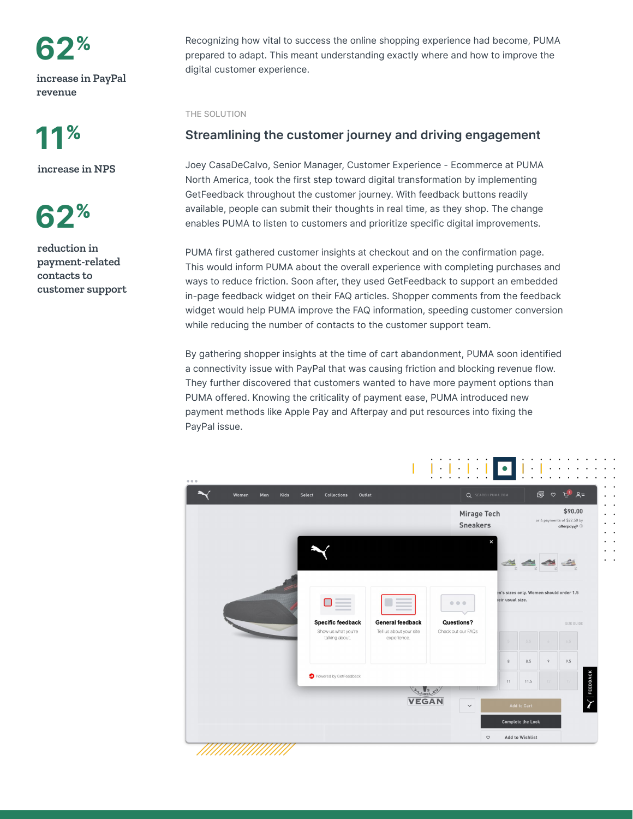**62**%

**increase in PayPal revenue**

**11**%

**increase in NPS**

**62**%

**reduction in payment-related contacts to customer support** Recognizing how vital to success the online shopping experience had become, PUMA prepared to adapt. This meant understanding exactly where and how to improve the digital customer experience.

THE SOLUTION

## **Streamlining the customer journey and driving engagement**

Joey CasaDeCalvo, Senior Manager, Customer Experience - Ecommerce at PUMA North America, took the first step toward digital transformation by implementing GetFeedback throughout the customer journey. With feedback buttons readily available, people can submit their thoughts in real time, as they shop. The change enables PUMA to listen to customers and prioritize specific digital improvements.

PUMA first gathered customer insights at checkout and on the confirmation page. This would inform PUMA about the overall experience with completing purchases and ways to reduce friction. Soon after, they used GetFeedback to support an embedded in-page feedback widget on their FAQ articles. Shopper comments from the feedback widget would help PUMA improve the FAQ information, speeding customer conversion while reducing the number of contacts to the customer support team.

By gathering shopper insights at the time of cart abandonment, PUMA soon identified a connectivity issue with PayPal that was causing friction and blocking revenue flow. They further discovered that customers wanted to have more payment options than PUMA offered. Knowing the criticality of payment ease, PUMA introduced new payment methods like Apple Pay and Afterpay and put resources into fixing the PayPal issue.